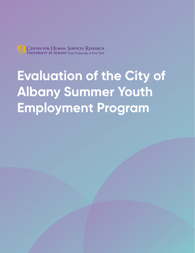

# **Evaluation of the City of Albany Summer Youth Employment Program**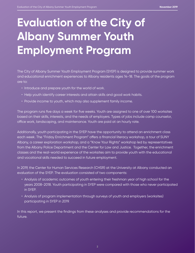## **Evaluation of the City of Albany Summer Youth Employment Program**

The City of Albany Summer Youth Employment Program (SYEP) is designed to provide summer work and educational enrichment experiences to Albany residents ages 14-18. The goals of the program are to:

- Introduce and prepare youth for the world of work.
- Help youth identify career interests and attain skills and good work habits.
- Provide income to youth, which may also supplement family income.

The program runs five days a week for five weeks. Youth are assigned to one of over 100 worksites based on their skills, interests, and the needs of employers. Types of jobs include camp counselor, office work, landscaping, and maintenance. Youth are paid at an hourly rate.

Additionally, youth participating in the SYEP have the opportunity to attend an enrichment class each week. The "Friday Enrichment Program" offers a financial literacy workshop, a tour of SUNY Albany, a career exploration workshop, and a "Know Your Rights" workshop led by representatives from the Albany Police Department and the Center for Law and Justice. Together, the enrichment classes and the real-world experience of the worksites aim to provide youth with the educational and vocational skills needed to succeed in future employment.

In 2019, the Center for Human Services Research (CHSR) at the University at Albany conducted an evaluation of the SYEP. The evaluation consisted of two components:

- Analysis of academic outcomes of youth entering their freshman year of high school for the years 2008-2018. Youth participating in SYEP were compared with those who never participated in SYEP.
- Analysis of program implementation through surveys of youth and employers (worksites) participating in SYEP in 2019.

In this report, we present the findings from these analyses and provide recommendations for the future.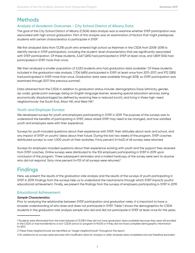### **Methods**

#### **Analysis of Academic Outcomes - City School District of Albany Data**

The goal of the City School District of Albany (CSDA) data analysis was to examine whether SYEP participation was associated with high school graduation. Part of this analysis was an examination of factors that might predispose students with certain characteristics to participate in SYEP.

We first analyzed data from 13,318 youth who entered high school as freshmen in the CSDA from 2008-2018 to identify trends in SYEP participation, including the student-level characteristics that are significantly associated with SYEP participation. Of these students, 3,467 (26%) had participated in SYEP at least once, and 1,809 (14%) had participated in SYEP more than once.

We then analyzed a smaller population of 3,533 students who had graduation data available.<sup>1</sup> Of these students included in the graduation rate analysis, 1,706 (48%) participated in SYEP at least once from 2011-2017, and 972 (28%) had participated in SYEP more than once. Graduation data were available through 2018, so SYEP participation was examined through 2017 (the previous summer).

Data obtained from the CSDA in addition to graduation status include: demographics (race/ethnicity, gender, zip code), grade point average, being an English language learner, receiving special education services, being economically disadvantaged (as defined by receiving free or reduced lunch), and living in three high-need neighborhoods: the South End, Arbor Hill, and West Hill.<sup>2</sup>

#### **Youth and Employer Surveys**

We developed surveys for youth and employers participating in SYEP in 2019. The purpose of the surveys was to understand the benefits of participating in SYEP, areas where SYEP may need to be changed, and how satisfied youth and employers were with their experience.

Surveys for youth included questions about their experience with SYEP, their attitudes about work and school, and any impact of SYEP on youths' ideas about their future. During the last two weeks of the program, SYEP coaches distributed surveys to over 1,000 youth at their worksites. Forty percent (n=442) of all surveys were returned.

Surveys for employers included questions about their experience working with youth and the support they received from SYEP coaches. Online surveys were distributed to the 102 employers participating in SYEP in 2019 upon conclusion of the program. Three subsequent reminders and a mailed hardcopy of the survey were sent to anyone who did not respond. Sixty-nine percent (n=70) of all surveys were returned. $^3$ 

## **Findings**

Here, we present the results of the graduation rate analysis and the results of the surveys of youth participating in SYEP in 2019. Findings from the surveys help us to understand the mechanisms through which SYEP impacts youths' educational achievement. Finally, we present the findings from the surveys of employers participating in SYEP in 2019.

#### **Educational Achievement**

#### *Sample Characteristics*

Prior to analyzing the relationship between SYEP participation and graduation rates, it is important to have a broader understanding of who does and does not participate in SYEP. Table 1 shows the demographics for CSDA students in the graduation rate analysis sample who did and did not participate in SYEP at least once for the years

<sup>1</sup> Students were eliminated from the total dataset of 13,318 if they did not have graduation data available because they were still enrolled in the CSDA or had transferred to a non-CSDA school or program (n=9,431) or if they did not have complete demographic information (n=357).

<sup>2</sup> These three neighborhoods are identified as "target neighborhoods" throughout the report.

<sup>3</sup> An additional six surveys were returned with insufficient data for analysis or after analyses were completed and are therefore excluded.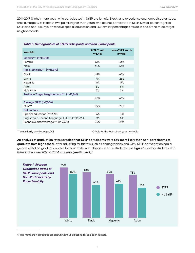2011-2017. Slightly more youth who participated in SYEP are female, Black, and experience economic disadvantage; their average GPA is about two points higher than youth who did not participate in SYEP. Similar percentages of SYEP and non-SYEP youth receive special education and ESL; similar percentages reside in one of the three target neighborhoods.

#### *Table 1: Demographics of SYEP Participants and Non-Participants*

| <b>Variable</b>                                  | <b>SYEP Youth</b><br>n=3,467 | <b>Non-SYEP Youth</b><br>n=9,851 |
|--------------------------------------------------|------------------------------|----------------------------------|
| Gender*** (n=13,318)                             |                              |                                  |
| Female                                           | 51%                          | 46%                              |
| Male                                             | 49%                          | 54%                              |
| Race/Ethnicity*** (n=13,310)                     |                              |                                  |
| <b>Black</b>                                     | 69%                          | 48%                              |
| White                                            | 14%                          | 25%                              |
| Hispanic                                         | 10%                          | 17%                              |
| Asian                                            | 5%                           | 8%                               |
| Multiracial                                      | 2%                           | 2%                               |
| Reside in Target Neighborhood*** (n=13,166)      |                              |                                  |
|                                                  | 45%                          | 48%                              |
| Average GPA <sup>a</sup> (n=7,004)               |                              |                                  |
| GPA***                                           | 75.5                         | 73.3                             |
| <b>Risk factors</b>                              |                              |                                  |
| Special education (n=13,318)                     | 14%                          | 15%                              |
| English as a Second Language (ESL)*** (n=13,298) | 3%                           | 5%                               |
| Economic disadvantage*** (n=13,318)              | 34%                          | 23%                              |

\*\*\*statistically significant p<.001 and the statistical of the last school year available

**An analysis of graduation rates revealed that SYEP participants were 66% more likely than non-participants to graduate from high school**, after adjusting for factors such as demographics and GPA. SYEP participation had a greater effect on graduation rates for non-white, non-Hispanic/Latino students (see **Figure 1**) and for students with GPAs in the lower 20% of CSDA students (**see Figure 2**).4



4 The numbers in all figures are shown without adjusting for selection factors.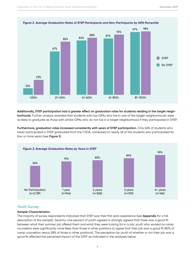

*Figure 2. Average Graduation Rates of SYEP Participants and Non-Participants by GPA Percentile*

**Additionally, SYEP participation had a greater effect on graduation rates for students residing in the target neighborhoods.** Further analysis revealed that students with low GPAs who live in one of the target neighborhoods were as likely to graduate as those with similar GPAs who do not live in a target neighborhood if they participated in SYEP.

Furthermore, graduation rates increased consistently with years of SYEP participation. Only 66% of students who never participated in SYEP graduated from the CSDA, compared to nearly all of the students who participated for four or more years (see **Figure 3**).



#### **Youth Survey**

#### *Sample Characteristics*

The majority of survey respondents indicated that SYEP was their first work experience (see **Appendix** for a full description of the sample). Seventy-one percent of youth agreed or strongly agreed that there was a good fit between what their summer job offered them and what they were looking for in a job; youth who worked as camp counselors were significantly more likely than those in other positions to agree that their job was a good fit (80% of camp counselors versus 58% of those in other positions). The perception by youth of whether or not their job was a good fit affected the perceived impact of the SYEP as indicated in the analyses below.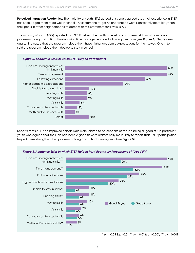**Perceived Impact on Academics.** The majority of youth (81%) agreed or strongly agreed that their experience in SYEP has encouraged them to do well in school. Those from the target neighborhoods were significantly more likely than their peers in other neighborhoods to agree with this statement (86% versus 77%).

The majority of youth (79%) reported that SYEP helped them with at least one academic skill, most commonly problem-solving and critical thinking skills, time management, and following directions (see **Figure 4**). Nearly onequarter indicated that the program helped them have higher academic expectations for themselves. One in ten said the program helped them decide to stay in school.



Reports that SYEP had improved certain skills were related to perceptions of the job being a "good fit." In particular, youth who agreed that their job had been a good fit were dramatically more likely to report that SYEP participation helped them strengthen their problem-solving and critical thinking skills (see **Figure 5**).



 $*$  p <= 0.05 & p > 0.01,  $*$  $*$  p <= 0.01 & p > 0.001,  $*$  $*$  $*$  p <= 0.001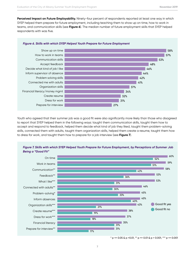**Perceived Impact on Future Employability.** Ninety-four percent of respondents reported at least one way in which SYEP helped them prepare for future employment, including teaching them to show up on time, how to work in teams, and communication skills (see **Figure 6**). The median number of future employment skills that SYEP helped respondents with was five.



#### *Figure 6. Skills with which SYEP Helped Youth Prepare for Future Employment*

Youth who agreed that their summer job was a good fit were also significantly more likely than those who disagreed to report that SYEP helped them in the following ways: taught them communication skills, taught them how to accept and respond to feedback, helped them decide what kind of job they liked, taught them problem-solving skills, connected them with adults, taught them organization skills, helped them create a resume, taught them how to dress for work, and taught them how to prepare for a job interview (see **Figure 7**).



#### *Figure 7. Skills with which SYEP Helped Youth Prepare for Future Employment, by Perceptions of Summer Job Being a "Good Fit"*

 $*$  p <= 0.05 & p > 0.01,  $*$  p <= 0.01 & p > 0.001,  $**$  p <= 0.001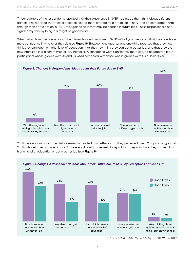Three-quarters of the respondents reported that their experience in SYEP had made them think about different careers; 86% reported that their experience helped them prepare for a future job. Ninety-one percent agreed that through their participation in SYEP, they gained skills that may be needed in future jobs. These responses did not significantly vary by living in a target neighborhood.

When asked how their ideas about the future changed because of SYEP, 42% of youth reported that they now have more confidence in whatever they do (see **Figure 8**). Between one-quarter and one-third reported that they now think they can reach a higher level of education, that they now think they can get a better job, and that they are now interested in a different type of job. Increases in confidence were significantly more likely to be reported by SYEP participants whose grades were As and Bs (45%) compared with those whose grades were Cs or lower (32%).



Youth perceptions about their future were also related to whether or not they perceived their SYEP job as a good fit. Youth who felt their job was a good fit were significantly more likely to report that they now think they can reach a higher level of education or get a better job (see **Figure 9**).



#### *Figure 9. Changes in Respondents' Ideas about their Future due to SYEP, by Perceptions of "Good Fit"*

 $*$  p <= 0.05 & p > 0.01,  $*$  p <= 0.01 & p > 0.001,  $**$  p <= 0.001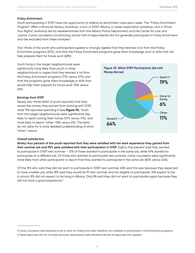#### *Friday Enrichment*

Youth participating in SYEP have the opportunity to attend an enrichment class each week. The "Friday Enrichment Program" offers a financial literacy workshop, a tour of SUNY Albany, a career exploration workshop, and a "Know Your Rights" workshop led by representatives from the Albany Police Department and the Center for Law and Justice. Camp counselors (constituting almost half of respondents) did not generally participate in Friday Enrichment and are excluded from these analyses.<sup>5</sup>

Two-thirds of the youth who participated agreed or strongly agreed that they learned a lot from the Friday Enrichment programs (67%), and that the Friday Enrichment programs gave them knowledge and/or skills that will help prepare them for future work (68%).

Youth living in the target neighborhoods were significantly more likely than youth in other neighborhoods to agree that they learned a lot from the Friday Enrichment programs (77% versus 57%) and that the programs gave them knowledge or skills that would help them prepare for future work (76% versus 61%).

#### *Earnings from SYEP*

Nearly two-thirds (64%) of youth reported that they saved the money they earned from working with SYEP, while 19% reported spending it (see **Figure 10**). Youth from the target neighborhoods were significantly less likely to report saving their money (57% versus 71%), and more likely to report "other" (16% versus 5%). The data do not allow for a more detailed understanding of what "other" means.



#### *Overall satisfaction*

**Ninety-four percent of the youth reported that they were satisfied with the work experience they gained from their summer job and 95% were satisfied with their participation in SYEP**. Eighty-five percent said they wanted to participate in SYEP next summer – 51% of these wanted to participate in the same job, while 49% wanted to participate at a different job. Of those who wanted to participate next summer, camp counselors were significantly more likely than other participants to report that they wanted to participate in the same job (60% versus 44%).

Of the 15% who said they did not want to participate in SYEP next summer, 65% said this was because they expected to have a better job, while 18% said they would be 19 next summer and not eligible to participate; 10% expect to be in school; 8% did not expect to be living in Albany. Only 8% said they did not want to participate again because they did not have a good experience.<sup>6</sup>

<sup>5</sup> Camp counselors were required to be at work on Fridays and were therefore not available to participate in the Enrichment programs.

<sup>6</sup> These responses are not mutually exclusive; respondents were allowed indicate all responses that applied.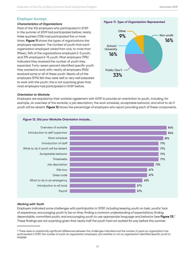#### **Employer Surveys**

#### *Characteristics of Organizations*

Most of the 102 employers who participated in SYEP in the summer of 2019 had participated before; nearly three quarters (73%) had participated five or more times. **Figure 11** shows the types of organizations the employers represent. The number of youth that each organization employed varied from one, to more than fifteen; 34% of the organizations employed 2-5 youth, and 31% employed 6-15 youth. Most employers (79%) indicated they received the number of youth they expected. Forty-seven percent identified specific youth they wanted to work with; nearly all employers (94%) received some or all of these youth. Nearly all of the employers (97%) felt they were well or very well prepared to work with the youth; this is not surprising given that most employers had participated in SYEP before.



#### *Orientation to Worksite*

Employers are required by their worksite agreement with SYEP to provide an orientation to youth, including, for example, an overview of the worksite, a job description, the work schedule, acceptable behavior, and what to do if youth will be absent. **Figure 12** shows the percentage of employers who report providing each of these components.



#### *Figure 12. Did your Worksite Orientation Include…*

#### *Working with Youth*

Employers indicated some challenges with participation in SYEP, including keeping youth on task; youths' lack of experience; encouraging youth to be on time; finding a common understanding of expectations; finding dependable, committed youth; and encouraging youth to use appropriate language and behavior (see **Figure 13**).7 These findings are not surprising given that nearly half the youth had not worked for pay before this summer.

<sup>7</sup> There were no statistically significant differences between the challenges indicated and the number of years an organization has participated in SYEP, the number of youth an organization employed, and whether or not an organization identified specific youth to engage.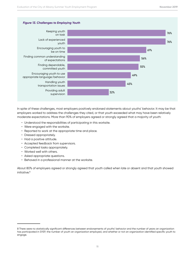#### *Figure 13. Challenges to Employing Youth*



In spite of these challenges, most employers positively endorsed statements about youths' behavior. It may be that employers worked to address the challenges they cited, or that youth exceeded what may have been relatively moderate expectations. More than 90% of employers agreed or strongly agreed that a majority of youth:

- Understood the responsibilities of participating in this worksite.
- Were engaged with the worksite.
- Reported to work at the appropriate time and place.
- Dressed appropriately.
- Had a positive attitude.
- Accepted feedback from supervisors.
- Completed tasks appropriately.
- Worked well with others.
- Asked appropriate questions.
- Behaved in a professional manner at the worksite.

About 80% of employers agreed or strongly agreed that youth called when late or absent and that youth showed initiative.8

<sup>8</sup> There were no statistically significant differences between endorsements of youths' behavior and the number of years an organization has participated in SYEP, the number of youth an organization employed, and whether or not an organization identified specific youth to engage.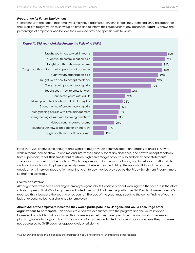#### *Preparation for Future Employment*

Consistent with the notion that employers may have addressed any challenges they identified, 84% indicated that their worksite taught youth to show up on time and to inform their supervisor of any absences. **Figure 14** shows the percentage of employers who believe their worksite provided specific skills to youth.

#### *Figure 14. Did your Worksite Provide the Following Skills?*



More than 75% of employers thought their worksite taught youth communication and organization skills, how to work in teams, how to show up on time and inform their supervisor of any absences, and how to accept feedback from supervisors; recall that smaller but relatively high percentages of youth also endorsed these statements. These indicators speak to the goals of SYEP to prepare youth for the world of work, and to help youth attain skills and good work habits. Employers generally seem to believe they are fulfilling these goals. Skills such as resume development, interview preparation, and financial literacy may be provided by the Friday Enrichment Program more so than the worksites.

#### *Overall Satisfaction*

Although there were some challenges, employers generally felt positively about working with the youth. It is therefore initially surprising that 71% of employers indicated they would not hire the youth after SYEP ends. However, over 50% reported this is because the youth are too young.<sup>9</sup> The age of the youth may speak to the earlier finding of youths' lack of experience being a challenge for employers.

**About 95% of the employers indicated they would participate in SYEP again, and would encourage other organizations to participate**. This speaks to a positive experience with the program and the youth involved. However, it is notable that about one-third of employers felt they were given little or no information necessary to plan a high-quality program. About one quarter of employers indicated that questions or concerns they had were not addressed by SYEP coaches appropriately or efficiently.

<sup>9</sup> About 30% indicated this is because the organization could not afford it; 14% indicated other reasons.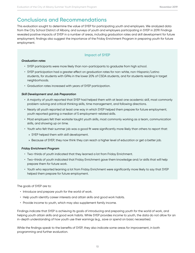### **Conclusions and Recommendations**

This evaluation sought to determine the value of SYEP for participating youth and employers. We analyzed data from the City School District of Albany, and surveys of youth and employers participating in SYEP in 2019. Findings revealed positive impacts of SYEP in a number of areas, including graduation rates and skill development for future employment; findings also suggest the importance of the Friday Enrichment Program in preparing youth for future employment.

#### **Impact of SYEP**

#### *Graduation rates*

- SYEP participants were more likely than non-participants to graduate from high school.
- SYEP participation had a greater effect on graduation rates for non-white, non-Hispanic/Latino students, for students with GPAs in the lower 20% of CSDA students, and for students residing in target neighborhoods.
- Graduation rates increased with years of SYEP participation.

#### *Skill Development and Job Preparation*

- A majority of youth reported that SYEP had helped them with at least one academic skill, most commonly problem-solving and critical thinking skills, time management, and following directions.
- Nearly all youth reported at least one way in which SYEP helped them prepare for future employment; youth reported gaining a median of 5 employment-related skills.
- Most employers felt their worksite taught youth skills, most commonly working as a team, communication skills, and showing up on time.
- Youth who felt their summer job was a good fit were significantly more likely than others to report that:
	- » SYEP helped them with skill development.
	- » Because of SYEP, they now think they can reach a higher level of education or get a better job.

#### *Friday Enrichment Program*

- Two-thirds of youth indicated that they learned a lot from Friday Enrichment.
- Two-thirds of youth indicated that Friday Enrichment gave them knowledge and/or skills that will help prepare them for future work.
- Youth who reported learning a lot from Friday Enrichment were significantly more likely to say that SYEP helped them prepare for future employment.

#### The goals of SYEP are to:

- Introduce and prepare youth for the world of work.
- Help youth identify career interests and attain skills and good work habits.
- Provide income to youth, which may also supplement family income.

Findings indicate that SYEP is achieving its goals of introducing and preparing youth for the world of work, and helping youth attain skills and good work habits. While SYEP provides income to youth, the data do not allow for an in-depth understanding of how youth use their earnings (e.g., save or spend on basic necessities).

While the findings speak to the benefits of SYEP, they also indicate some areas for improvement, in both programming and further evaluation.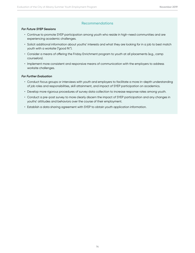#### **Recommendations**

#### *For Future SYEP Sessions*

- Continue to promote SYEP participation among youth who reside in high-need communities and are experiencing academic challenges.
- Solicit additional information about youths' interests and what they are looking for in a job to best match youth with a worksite ("good fit").
- Consider a means of offering the Friday Enrichment program to youth at all placements (e.g., camp counselors).
- Implement more consistent and responsive means of communication with the employers to address worksite challenges.

#### *For Further Evaluation*

- Conduct focus groups or interviews with youth and employers to facilitate a more in-depth understanding of job roles and responsibilities, skill attainment, and impact of SYEP participation on academics.
- Develop more rigorous procedures of survey data collection to increase response rates among youth.
- Conduct a pre-post survey to more clearly discern the impact of SYEP participation and any changes in youths' attitudes and behaviors over the course of their employment.
- Establish a data sharing agreement with SYEP to obtain youth application information.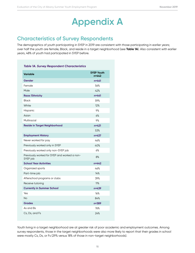## **Appendix A**

## **Characteristics of Survey Respondents**

The demographics of youth participating in SYEP in 2019 are consistent with those participating in earlier years; over half the youth are female, Black, and reside in a target neighborhood (see **Table 1A**). Also consistent with earlier years, 48% of youth had participated in SYEP before.

| <b>Table 1A. Survey Respondent Characteristics</b>       |                            |
|----------------------------------------------------------|----------------------------|
| <b>Variable</b>                                          | <b>SYEP Youth</b><br>n=442 |
| Gender                                                   | $n = 441$                  |
| Female                                                   | 56%                        |
| Male                                                     | 42%                        |
| Race/Ethnicity                                           | $n = 441$                  |
| <b>Black</b>                                             | 59%                        |
| White                                                    | 12%                        |
| Hispanic                                                 | 9%                         |
| Asian                                                    | 6%                         |
| Multiracial                                              | 9%                         |
| <b>Reside in Target Neighborhood</b>                     | $n = 421$                  |
|                                                          | 53%                        |
| <b>Employment History</b>                                | $n = 437$                  |
| Never worked for pay                                     | 46%                        |
| Previously worked only in SYEP                           | 40%                        |
| Previously worked only non-SYEP job                      | 6%                         |
| Previously worked for SYEP and worked a non-<br>SYEP job | 8%                         |
| <b>School Year Activities</b>                            | $n = 442$                  |
| Organized sports                                         | 46%                        |
| Part-time job                                            | 14%                        |
| Afterschool programs or clubs                            | 39%                        |
| Receive tutoring                                         | 11%                        |
| <b>Currently in Summer School</b>                        | n=439                      |
| Yes                                                      | 16%                        |
| No                                                       | 84%                        |
| <b>Grades</b>                                            | n=389                      |
| As and Bs                                                | 76%                        |
| Cs, Ds, and Fs                                           | 24%                        |

Youth living in a target neighborhood are at greater risk of poor academic and employment outcomes. Among survey respondents, those in the target neighborhoods were also more likely to report that their grades in school were mostly Cs, Ds, or Fs (29% versus 18% of those in non-target neighborhoods).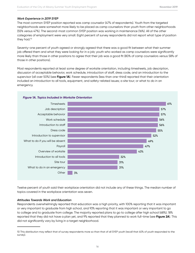#### *Work Experience in 2019 SYEP*

The most common SYEP position reported was camp counselor (47% of respondents). Youth from the targeted neighborhoods were somewhat more likely to be placed as camp counselors than youth from other neighborhoods (55% versus 47%). The second-most common SYEP position was working in maintenance (16%). All of the other categories of employment were very small. Eight percent of survey respondents did not report what type of position they had.<sup>10</sup>

Seventy-one percent of youth agreed or strongly agreed that there was a good fit between what their summer job offered them and what they were looking for in a job; youth who worked as camp counselors were significantly more likely than those in other positions to agree that their job was a good fit (80% of camp counselors versus 58% of those in other positions).

Most respondents reported at least some degree of worksite orientation, including timesheets, job description, discussion of acceptable behavior, work schedule, introduction of staff, dress code, and an introduction to the supervisor (all over 50%) (see **Figure 1A**). Fewer respondents (less than one-third) reported that their orientation included an introduction to all tools, equipment, and safety-related issues; a site tour; or what to do in an emergency.



#### *Figure 1A. Topics Included in Worksite Orientation*

Twelve percent of youth said their workplace orientation did not include any of these things. The median number of topics covered in the workplace orientation was seven.

#### *Attitudes Towards Work and Education*

Respondents overwhelmingly reported that education was a high priority, with 100% reporting that it was important or very important to graduate from high school, and 93% reporting that it was important or very important to go to college and to graduate from college. The majority reported plans to go to college after high school (68%); 18% reported that they did not have a plan yet, and 9% reported that they planned to work full-time (see **Figure 2A**). This did not significantly vary by living in a target neighborhood.

<sup>10</sup> This distribution may reflect that of survey respondents more so than that of all SYEP youth (recall that 40% of youth responded to the survey).